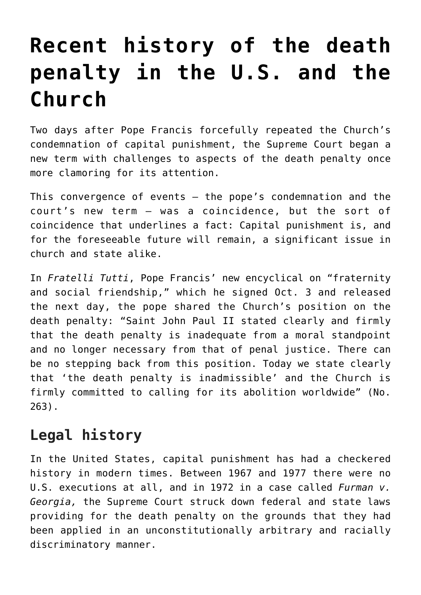## **[Recent history of the death](https://www.osvnews.com/2020/10/12/recent-history-of-the-death-penalty-in-the-u-s-and-the-church/) [penalty in the U.S. and the](https://www.osvnews.com/2020/10/12/recent-history-of-the-death-penalty-in-the-u-s-and-the-church/) [Church](https://www.osvnews.com/2020/10/12/recent-history-of-the-death-penalty-in-the-u-s-and-the-church/)**

Two days after Pope Francis forcefully repeated the Church's condemnation of capital punishment, the Supreme Court began a new term with challenges to aspects of the death penalty once more clamoring for its attention.

This convergence of events — the pope's condemnation and the court's new term — was a coincidence, but the sort of coincidence that underlines a fact: Capital punishment is, and for the foreseeable future will remain, a significant issue in church and state alike.

In *Fratelli Tutti*, Pope Francis' new encyclical on "fraternity and social friendship," which he signed Oct. 3 and released the next day, the pope shared the Church's position on the death penalty: "Saint John Paul II stated clearly and firmly that the death penalty is inadequate from a moral standpoint and no longer necessary from that of penal justice. There can be no stepping back from this position. Today we state clearly that 'the death penalty is inadmissible' and the Church is firmly committed to calling for its abolition worldwide" (No. 263).

## **Legal history**

In the United States, capital punishment has had a checkered history in modern times. Between 1967 and 1977 there were no U.S. executions at all, and in 1972 in a case called *Furman v. Georgia,* the Supreme Court struck down federal and state laws providing for the death penalty on the grounds that they had been applied in an unconstitutionally arbitrary and racially discriminatory manner.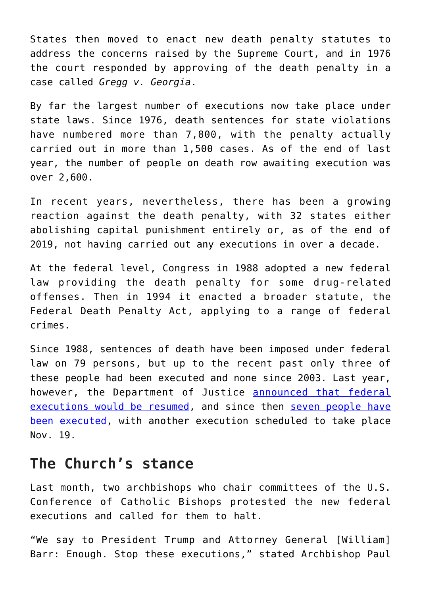States then moved to enact new death penalty statutes to address the concerns raised by the Supreme Court, and in 1976 the court responded by approving of the death penalty in a case called *Gregg v. Georgia*.

By far the largest number of executions now take place under state laws. Since 1976, death sentences for state violations have numbered more than 7,800, with the penalty actually carried out in more than 1,500 cases. As of the end of last year, the number of people on death row awaiting execution was over 2,600.

In recent years, nevertheless, there has been a growing reaction against the death penalty, with 32 states either abolishing capital punishment entirely or, as of the end of 2019, not having carried out any executions in over a decade.

At the federal level, Congress in 1988 adopted a new federal law providing the death penalty for some drug-related offenses. Then in 1994 it enacted a broader statute, the Federal Death Penalty Act, applying to a range of federal crimes.

Since 1988, sentences of death have been imposed under federal law on 79 persons, but up to the recent past only three of these people had been executed and none since 2003. Last year, however, the Department of Justice **announced** that federal [executions would be resumed,](https://osvnews.com/2019/07/25/catholic-leaders-object-to-reinstatement-of-federal-death-penalty/) and since then [seven people have](https://osvnews.com/2020/06/30/catholic-leaders-denounce-courts-rejection-of-federal-death-penalty-appeal/) [been executed,](https://osvnews.com/2020/06/30/catholic-leaders-denounce-courts-rejection-of-federal-death-penalty-appeal/) with another execution scheduled to take place Nov. 19.

## **The Church's stance**

Last month, two archbishops who chair committees of the U.S. Conference of Catholic Bishops protested the new federal executions and called for them to halt.

"We say to President Trump and Attorney General [William] Barr: Enough. Stop these executions," stated Archbishop Paul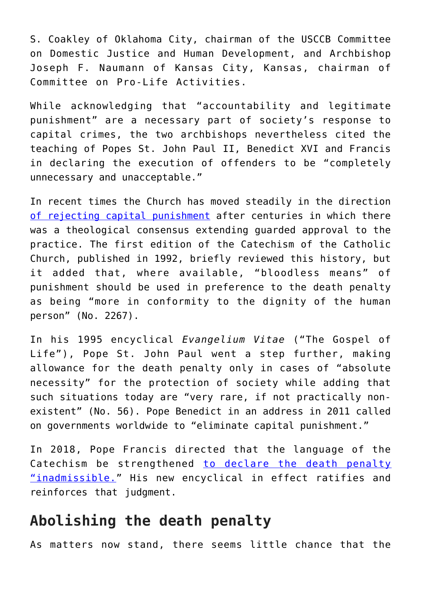S. Coakley of Oklahoma City, chairman of the USCCB Committee on Domestic Justice and Human Development, and Archbishop Joseph F. Naumann of Kansas City, Kansas, chairman of Committee on Pro-Life Activities.

While acknowledging that "accountability and legitimate punishment" are a necessary part of society's response to capital crimes, the two archbishops nevertheless cited the teaching of Popes St. John Paul II, Benedict XVI and Francis in declaring the execution of offenders to be "completely unnecessary and unacceptable."

In recent times the Church has moved steadily in the direction [of rejecting capital punishment](https://osvnews.com/2019/07/31/why-is-the-death-penalty-so-bad/) after centuries in which there was a theological consensus extending guarded approval to the practice. The first edition of the Catechism of the Catholic Church, published in 1992, briefly reviewed this history, but it added that, where available, "bloodless means" of punishment should be used in preference to the death penalty as being "more in conformity to the dignity of the human person" (No. 2267).

In his 1995 encyclical *Evangelium Vitae* ("The Gospel of Life"), Pope St. John Paul went a step further, making allowance for the death penalty only in cases of "absolute necessity" for the protection of society while adding that such situations today are "very rare, if not practically nonexistent" (No. 56). Pope Benedict in an address in 2011 called on governments worldwide to "eliminate capital punishment."

In 2018, Pope Francis directed that the language of the Catechism be strengthened [to declare the death penalty](https://osvnews.com/2018/08/19/pope-nixes-death-penalty/) ["inadmissible.](https://osvnews.com/2018/08/19/pope-nixes-death-penalty/)" His new encyclical in effect ratifies and reinforces that judgment.

## **Abolishing the death penalty**

As matters now stand, there seems little chance that the